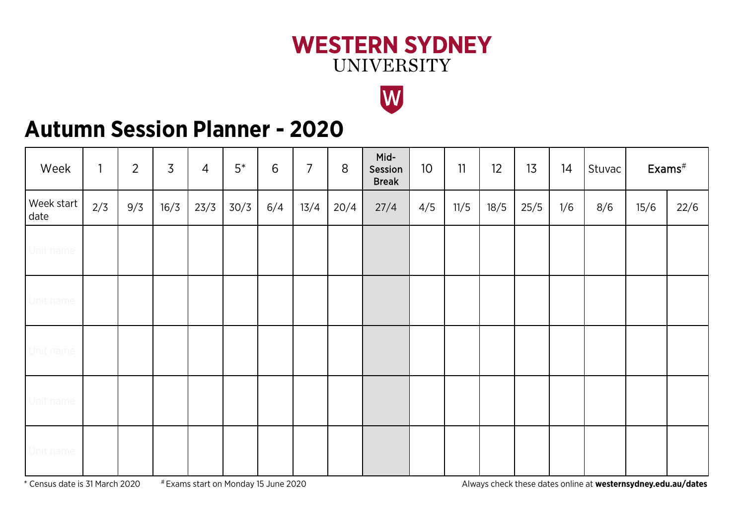### **WESTERN SYDNEY UNIVERSITY**



## **Autumn Session Planner - 2020**

| Week               | $\mathbf{1}$ | $\overline{2}$ | $\overline{3}$ | $\overline{4}$ | $5^*$ | 6   | $\overline{7}$ | 8    | Mid-<br>Session<br><b>Break</b> | 10 <sup>°</sup> | 11   | 12   | 13   | 14  | Stuvac | $Exams^{\#}$ |      |
|--------------------|--------------|----------------|----------------|----------------|-------|-----|----------------|------|---------------------------------|-----------------|------|------|------|-----|--------|--------------|------|
| Week start<br>date | 2/3          | 9/3            | 16/3           | 23/3           | 30/3  | 6/4 | 13/4           | 20/4 | 27/4                            | 4/5             | 11/5 | 18/5 | 25/5 | 1/6 | 8/6    | 15/6         | 22/6 |
| Unit name          |              |                |                |                |       |     |                |      |                                 |                 |      |      |      |     |        |              |      |
| Unit name          |              |                |                |                |       |     |                |      |                                 |                 |      |      |      |     |        |              |      |
| Unit name          |              |                |                |                |       |     |                |      |                                 |                 |      |      |      |     |        |              |      |
| Unit name          |              |                |                |                |       |     |                |      |                                 |                 |      |      |      |     |        |              |      |
| Unit name          |              |                |                |                |       |     |                |      |                                 |                 |      |      |      |     |        |              |      |

\* Census date is 31 March 2020 # Exams start on Monday 15 June 2020 Always check these dates online at **westernsydney.edu.au/dates**